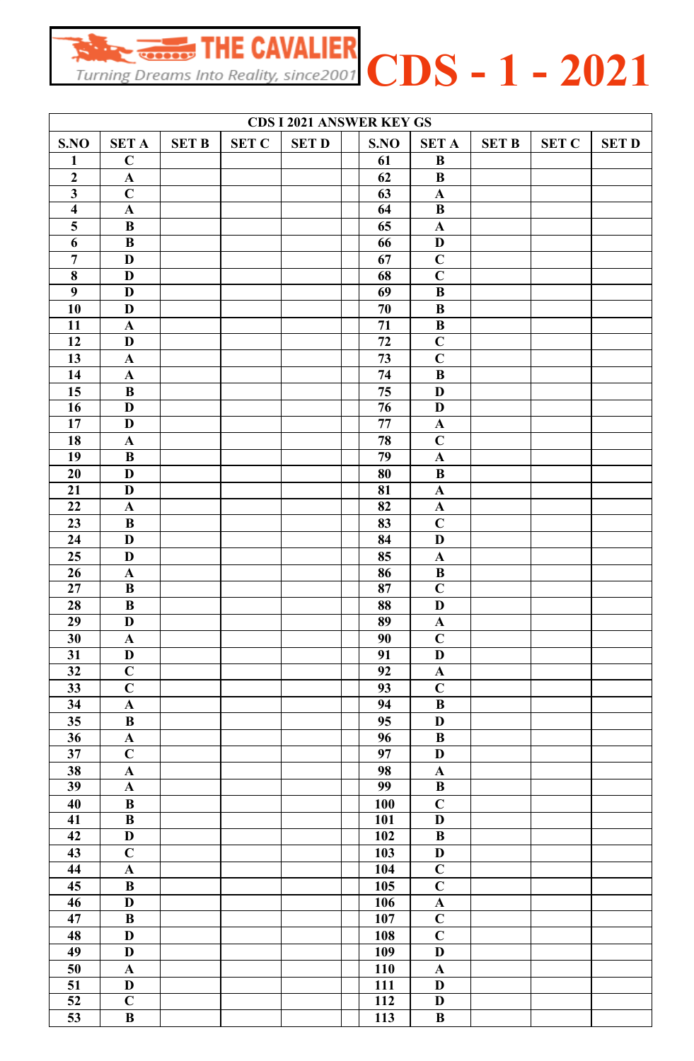Finally  $\frac{1}{\text{Turning Dreams}}$  THE CAVALIER  $CDS - 1 - 2021$ 

| <b>CDS I 2021 ANSWER KEY GS</b> |                           |              |              |              |  |                 |                           |              |              |              |  |  |
|---------------------------------|---------------------------|--------------|--------------|--------------|--|-----------------|---------------------------|--------------|--------------|--------------|--|--|
| S.NO                            | <b>SET A</b>              | <b>SET B</b> | <b>SET C</b> | <b>SET D</b> |  | S.NO            | <b>SET A</b>              | <b>SET B</b> | <b>SET C</b> | <b>SET D</b> |  |  |
| $\mathbf{1}$                    | $\mathbf C$               |              |              |              |  | 61              | $\bf{B}$                  |              |              |              |  |  |
| $\overline{2}$                  | $\mathbf A$               |              |              |              |  | 62              | $\bf{B}$                  |              |              |              |  |  |
| $\overline{\mathbf{3}}$         | $\mathbf C$               |              |              |              |  | 63              | $\mathbf A$               |              |              |              |  |  |
| $\overline{\mathbf{4}}$         | $\mathbf A$               |              |              |              |  | 64              | $\bf{B}$                  |              |              |              |  |  |
| $\overline{\mathbf{5}}$         | $\, {\bf B}$              |              |              |              |  | 65              | $\mathbf A$               |              |              |              |  |  |
| 6                               | $\bf{B}$                  |              |              |              |  | 66              | D                         |              |              |              |  |  |
| $\overline{7}$                  | D                         |              |              |              |  | 67              | $\mathbf C$               |              |              |              |  |  |
| 8                               | D                         |              |              |              |  | 68              | $\mathbf C$               |              |              |              |  |  |
| $\overline{9}$                  | D                         |              |              |              |  | 69              | $\bf{B}$                  |              |              |              |  |  |
| 10                              | D                         |              |              |              |  | 70              | $\bf{B}$                  |              |              |              |  |  |
| 11                              | $\mathbf{A}$              |              |              |              |  | 71              | $\bf{B}$                  |              |              |              |  |  |
| 12                              | D                         |              |              |              |  | 72              | $\overline{C}$            |              |              |              |  |  |
| 13                              | $\mathbf A$               |              |              |              |  | 73              | $\mathbf C$               |              |              |              |  |  |
| 14                              | $\mathbf A$               |              |              |              |  | 74              | $\bf{B}$                  |              |              |              |  |  |
| 15                              | $\bf{B}$                  |              |              |              |  | 75              | D                         |              |              |              |  |  |
| 16                              | D                         |              |              |              |  | 76              | D                         |              |              |              |  |  |
| 17                              | D                         |              |              |              |  | 77              | $\mathbf A$               |              |              |              |  |  |
| 18                              | $\mathbf A$               |              |              |              |  | 78              | $\mathbf C$               |              |              |              |  |  |
| 19                              | $\bf{B}$                  |              |              |              |  | $\overline{79}$ | $\mathbf A$               |              |              |              |  |  |
| 20                              | D                         |              |              |              |  | 80              | $\bf{B}$                  |              |              |              |  |  |
| 21                              | D                         |              |              |              |  | 81              | $\mathbf A$               |              |              |              |  |  |
| 22                              | $\mathbf{A}$              |              |              |              |  | 82              |                           |              |              |              |  |  |
|                                 |                           |              |              |              |  |                 | $\mathbf A$               |              |              |              |  |  |
| 23                              | $\bf{B}$                  |              |              |              |  | 83              | $\mathbf C$               |              |              |              |  |  |
| 24                              | D                         |              |              |              |  | 84              | D                         |              |              |              |  |  |
| 25                              | D                         |              |              |              |  | 85              | $\mathbf A$               |              |              |              |  |  |
| 26                              | $\mathbf{A}$              |              |              |              |  | 86              | $\bf{B}$                  |              |              |              |  |  |
| 27                              | B                         |              |              |              |  | 87              | $\mathbf C$               |              |              |              |  |  |
| 28                              | $\, {\bf B}$              |              |              |              |  | 88              | D                         |              |              |              |  |  |
| 29                              | $\mathbf{D}$              |              |              |              |  | 89              | $\boldsymbol{\rm{A}}$     |              |              |              |  |  |
| 30                              | $\mathbf A$               |              |              |              |  | 90              | $\mathbf C$               |              |              |              |  |  |
| 31                              | $\mathbf{D}$              |              |              |              |  | 91              | $\mathbf D$               |              |              |              |  |  |
| $\overline{32}$                 | $\overline{C}$            |              |              |              |  | $\overline{92}$ | $\mathbf A$               |              |              |              |  |  |
| 33                              | $\overline{\mathbf{C}}$   |              |              |              |  | 93              | $\mathbf C$               |              |              |              |  |  |
| 34                              | $\mathbf{A}$              |              |              |              |  | 94              | $\bf{B}$                  |              |              |              |  |  |
| 35                              | $\, {\bf B}$              |              |              |              |  | 95              | $\mathbf D$               |              |              |              |  |  |
| $\overline{36}$                 | ${\bf A}$                 |              |              |              |  | 96              | $\, {\bf B}$              |              |              |              |  |  |
| $\overline{37}$                 | $\overline{C}$            |              |              |              |  | $\overline{97}$ | $\mathbf D$               |              |              |              |  |  |
| 38                              | $\boldsymbol{\rm{A}}$     |              |              |              |  | 98              | $\boldsymbol{\rm{A}}$     |              |              |              |  |  |
| 39                              | $\mathbf{A}$              |              |              |              |  | 99              | $\, {\bf B}$              |              |              |              |  |  |
| 40                              | $\, {\bf B}$              |              |              |              |  | 100             | $\mathbf C$               |              |              |              |  |  |
| 41                              | $\, {\bf B}$              |              |              |              |  | 101             | $\mathbf D$               |              |              |              |  |  |
| 42                              | $\mathbf D$               |              |              |              |  | 102             | $\, {\bf B}$              |              |              |              |  |  |
| 43                              | $\mathbf C$               |              |              |              |  | 103             | $\mathbf D$               |              |              |              |  |  |
| 44                              | $\boldsymbol{\rm{A}}$     |              |              |              |  | 104             | $\mathbf C$               |              |              |              |  |  |
| 45                              | $\, {\bf B}$              |              |              |              |  | 105             | $\mathbf C$               |              |              |              |  |  |
| 46                              | $\mathbf D$               |              |              |              |  | 10 <sub>6</sub> | $\mathbf A$               |              |              |              |  |  |
| 47                              | $\, {\bf B}$              |              |              |              |  | 107             | $\overline{C}$            |              |              |              |  |  |
| 48                              | $\mathbf{D}$              |              |              |              |  | 108             | $\mathbf C$               |              |              |              |  |  |
| 49                              | $\mathbf D$               |              |              |              |  | 109             | $\mathbf D$               |              |              |              |  |  |
| 50                              | $\boldsymbol{\mathbf{A}}$ |              |              |              |  | <b>110</b>      | $\boldsymbol{\mathbf{A}}$ |              |              |              |  |  |
| $\overline{51}$                 | $\mathbf D$               |              |              |              |  | 111             | $\mathbf D$               |              |              |              |  |  |
| $\overline{52}$                 | $\overline{C}$            |              |              |              |  | 112             | $\mathbf D$               |              |              |              |  |  |
| 53                              | $\bf{B}$                  |              |              |              |  | 113             | $\bf{B}$                  |              |              |              |  |  |